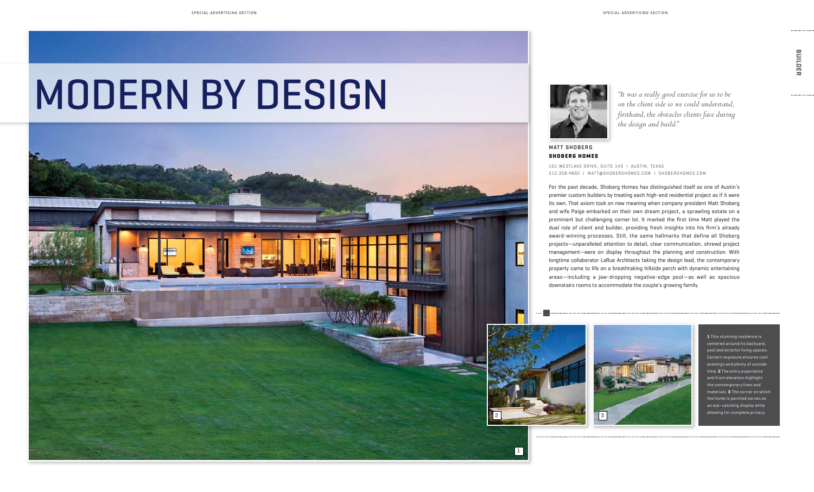# MODERN BY DESIGN

For the past decade, Shoberg Homes has distinguished itself as one of Austin's premier custom builders by treating each high-end residential project as if it were its own. That axiom took on new meaning when company president Matt Shoberg and wife Paige embarked on their own dream project, a sprawling estate on a prominent but challenging corner lot. It marked the first time Matt played the dual role of client and builder, providing fresh insights into his firm's already award-winning processes. Still, the same hallmarks that define all Shoberg projects—unparalleled attention to detail, clear communication, shrewd project management—were on display throughout the planning and construction. With longtime collaborator LaRue Architects taking the design lead, the contemporary property came to life on a breathtaking hillside perch with dynamic entertaining areas—including a jaw-dropping negative-edge pool—as well as spacious downstairs rooms to accommodate the couple's growing family.

MATT SHOBERG **Shoberg Homes**

BUILDER **BUILDER**

*"It was a really good exercise for us to be on the client side so we could understand, firsthand, the obstacles clients face during the design and build."*

101 Westlake Drive, Suite 143 I Austin, Texas 512.358.4892 I matt@shoberghomes.com I shoberghomes.com

> **1** This stunning residence is centered around its backyard, pool and exterior living spaces. Eastern exposure ensures cool is and plenty of outside time. **2** The entry experience t elevation highlight orary lines and  $\mathbf s$  .  $\mathbf 3$  The corner on which the home is perched serves as an eye-catching display while allowing for complete privacy.





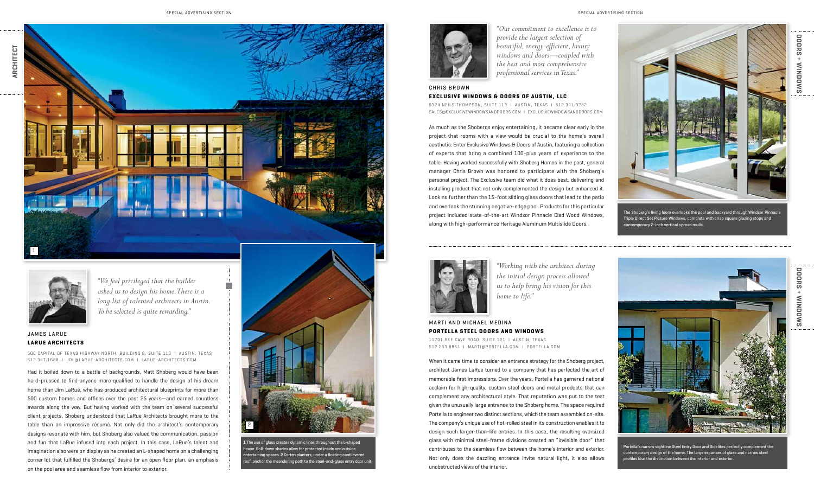

**1** The use of glass creates dynamic lines throughout the L-shaped house. Roll-down shades allow for protected inside and outside entertaining spaces. **2** Corten planters, under a floating cantilevered roof, anchor the meandering path to the steel-and-glass entry door unit.







**DOORS + WINDOWS**

**MINDOWS** 

 $+$ 

**DOORS** 

# **CHRIS BROWN Exclusive Windows & Doors of Austin, LLC**

9324 Neils Thompson, suite 113 I austin, texas I 512.341.9282 SALES@EXCLUSIVEWINDOWSANDDOORS.COM | EXCLUSIVEWINDOWSANDDOORS.COM

As much as the Shobergs enjoy entertaining, it became clear early in the project that rooms with a view would be crucial to the home's overall aesthetic. Enter Exclusive Windows & Doors of Austin, featuring a collection of experts that bring a combined 100-plus years of experience to the table. Having worked successfully with Shoberg Homes in the past, general manager Chris Brown was honored to participate with the Shoberg's personal project. The Exclusive team did what it does best, delivering and installing product that not only complemented the design but enhanced it. Look no further than the 15-foot sliding glass doors that lead to the patio and overlook the stunning negative-edge pool. Products for this particular project included state-of-the-art Windsor Pinnacle Clad Wood Windows, along with high-performance Heritage Aluminum Multislide Doors.



### **JAMES LARUE LaRue Architects**

*"Our commitment to excellence is to provide the largest selection of beautiful, energy-efficient, luxury windows and doors—coupled with the best and most comprehensive professional services in Texas."*

> The Shoberg's living loom overlooks the pool and backyard through Windsor Pinnacle Triple Direct Set Picture Windows, complete with crisp square glazing stops and contemporary 2-inch vertical spread mulls.

Had it boiled down to a battle of backgrounds, Matt Shoberg would have been hard-pressed to find anyone more qualified to handle the design of his dream home than Jim LaRue, who has produced architectural blueprints for more than 500 custom homes and offices over the past 25 years—and earned countless awards along the way. But having worked with the team on several successful client projects, Shoberg understood that LaRue Architects brought more to the table than an impressive résumé. Not only did the architect's contemporary designs resonate with him, but Shoberg also valued the communication, passion and fun that LaRue infused into each project. In this case, LaRue's talent and imagination also were on display as he created an L-shaped home on a challenging corner lot that fulfilled the Shobergs' desire for an open floor plan, an emphasis on the pool area and seamless flow from interior to exterior.

500 Capital of Texas Highway North, Building 8, Suite 110 I Austin, Texas 512.347.1688 I jdl@larue-architects.com I larue-architects.com

*"We feel privileged that the builder asked us to design his home. There is a long list of talented architects in Austin. To be selected is quite rewarding."*

**DOORS + WINDOWS**

When it came time to consider an entrance strategy for the Shoberg project, architect James LaRue turned to a company that has perfected the art of memorable first impressions. Over the years, Portella has garnered national acclaim for high-quality, custom steel doors and metal products that can complement any architectural style. That reputation was put to the test given the unusually large entrance to the Shoberg home. The space required Portella to engineer two distinct sections, which the team assembled on-site. The company's unique use of hot-rolled steel in its construction enables it to design such larger-than-life entries. In this case, the resulting oversized glass with minimal steel-frame divisions created an "invisible door" that contributes to the seamless flow between the home's interior and exterior. Not only does the dazzling entrance invite natural light, it also allows unobstructed views of the interior.



#### Marti and Michael Medina **Portella Steel Doors and Windows**

*"Working with the architect during the initial design process allowed us to help bring his vision for this home to life."*

11701 Bee Cave Road, Suite 121 I austin, texas 512.263.8851 I marti@portella.com I Portella.com



Portella's narrow sightline Steel Entry Door and Sidelites perfectly complement the contemporary design of the home. The large expanses of glass and narrow steel profiles blur the distinction between the interior and exterior.